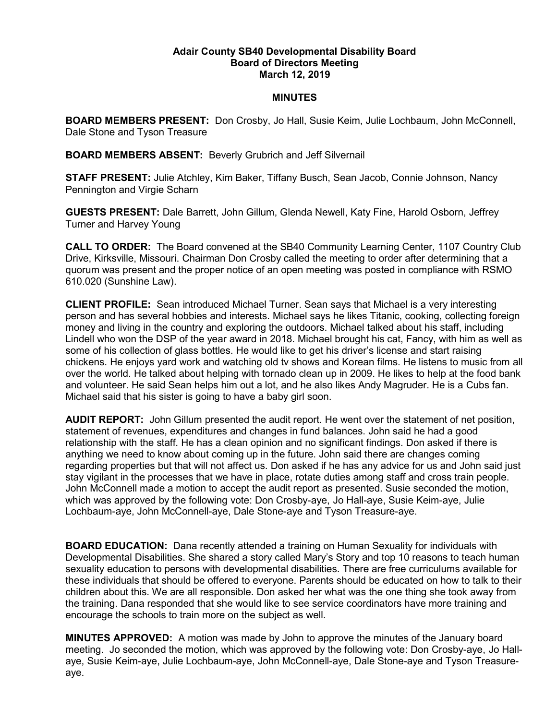## Adair County SB40 Developmental Disability Board Board of Directors Meeting March 12, 2019

## **MINUTES**

BOARD MEMBERS PRESENT: Don Crosby, Jo Hall, Susie Keim, Julie Lochbaum, John McConnell, Dale Stone and Tyson Treasure

BOARD MEMBERS ABSENT: Beverly Grubrich and Jeff Silvernail

STAFF PRESENT: Julie Atchley, Kim Baker, Tiffany Busch, Sean Jacob, Connie Johnson, Nancy Pennington and Virgie Scharn

GUESTS PRESENT: Dale Barrett, John Gillum, Glenda Newell, Katy Fine, Harold Osborn, Jeffrey Turner and Harvey Young

CALL TO ORDER: The Board convened at the SB40 Community Learning Center, 1107 Country Club Drive, Kirksville, Missouri. Chairman Don Crosby called the meeting to order after determining that a quorum was present and the proper notice of an open meeting was posted in compliance with RSMO 610.020 (Sunshine Law).

CLIENT PROFILE: Sean introduced Michael Turner. Sean says that Michael is a very interesting person and has several hobbies and interests. Michael says he likes Titanic, cooking, collecting foreign money and living in the country and exploring the outdoors. Michael talked about his staff, including Lindell who won the DSP of the year award in 2018. Michael brought his cat, Fancy, with him as well as some of his collection of glass bottles. He would like to get his driver's license and start raising chickens. He enjoys yard work and watching old tv shows and Korean films. He listens to music from all over the world. He talked about helping with tornado clean up in 2009. He likes to help at the food bank and volunteer. He said Sean helps him out a lot, and he also likes Andy Magruder. He is a Cubs fan. Michael said that his sister is going to have a baby girl soon.

AUDIT REPORT: John Gillum presented the audit report. He went over the statement of net position, statement of revenues, expenditures and changes in fund balances. John said he had a good relationship with the staff. He has a clean opinion and no significant findings. Don asked if there is anything we need to know about coming up in the future. John said there are changes coming regarding properties but that will not affect us. Don asked if he has any advice for us and John said just stay vigilant in the processes that we have in place, rotate duties among staff and cross train people. John McConnell made a motion to accept the audit report as presented. Susie seconded the motion, which was approved by the following vote: Don Crosby-aye, Jo Hall-aye, Susie Keim-aye, Julie Lochbaum-aye, John McConnell-aye, Dale Stone-aye and Tyson Treasure-aye.

BOARD EDUCATION: Dana recently attended a training on Human Sexuality for individuals with Developmental Disabilities. She shared a story called Mary's Story and top 10 reasons to teach human sexuality education to persons with developmental disabilities. There are free curriculums available for these individuals that should be offered to everyone. Parents should be educated on how to talk to their children about this. We are all responsible. Don asked her what was the one thing she took away from the training. Dana responded that she would like to see service coordinators have more training and encourage the schools to train more on the subject as well.

MINUTES APPROVED: A motion was made by John to approve the minutes of the January board meeting. Jo seconded the motion, which was approved by the following vote: Don Crosby-aye, Jo Hallaye, Susie Keim-aye, Julie Lochbaum-aye, John McConnell-aye, Dale Stone-aye and Tyson Treasureaye.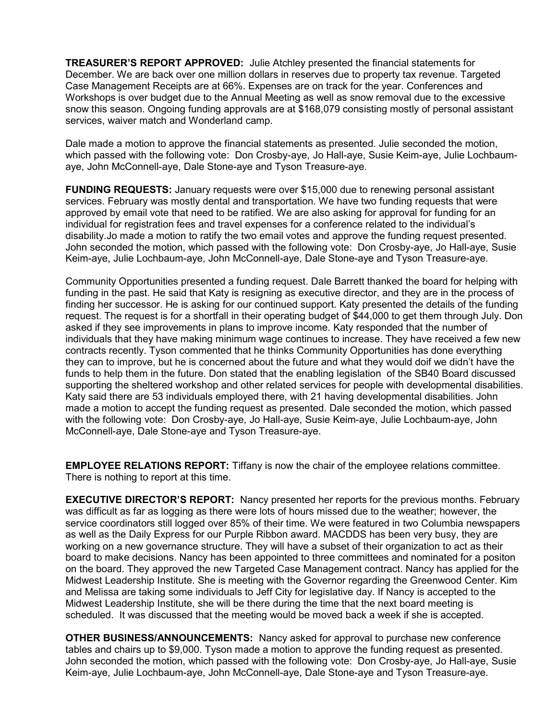TREASURER'S REPORT APPROVED: Julie Atchley presented the financial statements for December. We are back over one million dollars in reserves due to property tax revenue. Targeted Case Management Receipts are at 66%. Expenses are on track for the year. Conferences and Workshops is over budget due to the Annual Meeting as well as snow removal due to the excessive snow this season. Ongoing funding approvals are at \$168,079 consisting mostly of personal assistant services, waiver match and Wonderland camp.

Dale made a motion to approve the financial statements as presented. Julie seconded the motion, which passed with the following vote: Don Crosby-aye, Jo Hall-aye, Susie Keim-aye, Julie Lochbaumaye, John McConnell-aye, Dale Stone-aye and Tyson Treasure-aye.

FUNDING REQUESTS: January requests were over \$15,000 due to renewing personal assistant services. February was mostly dental and transportation. We have two funding requests that were approved by email vote that need to be ratified. We are also asking for approval for funding for an individual for registration fees and travel expenses for a conference related to the individual's disability.Jo made a motion to ratify the two email votes and approve the funding request presented. John seconded the motion, which passed with the following vote: Don Crosby-aye, Jo Hall-aye, Susie Keim-aye, Julie Lochbaum-aye, John McConnell-aye, Dale Stone-aye and Tyson Treasure-aye.

Community Opportunities presented a funding request. Dale Barrett thanked the board for helping with funding in the past. He said that Katy is resigning as executive director, and they are in the process of finding her successor. He is asking for our continued support. Katy presented the details of the funding request. The request is for a shortfall in their operating budget of \$44,000 to get them through July. Don asked if they see improvements in plans to improve income. Katy responded that the number of individuals that they have making minimum wage continues to increase. They have received a few new contracts recently. Tyson commented that he thinks Community Opportunities has done everything they can to improve, but he is concerned about the future and what they would doif we didn't have the funds to help them in the future. Don stated that the enabling legislation of the SB40 Board discussed supporting the sheltered workshop and other related services for people with developmental disabilities. Katy said there are 53 individuals employed there, with 21 having developmental disabilities. John made a motion to accept the funding request as presented. Dale seconded the motion, which passed with the following vote: Don Crosby-aye, Jo Hall-aye, Susie Keim-aye, Julie Lochbaum-aye, John McConnell-aye, Dale Stone-aye and Tyson Treasure-aye.

EMPLOYEE RELATIONS REPORT: Tiffany is now the chair of the employee relations committee. There is nothing to report at this time.

EXECUTIVE DIRECTOR'S REPORT: Nancy presented her reports for the previous months. February was difficult as far as logging as there were lots of hours missed due to the weather; however, the service coordinators still logged over 85% of their time. We were featured in two Columbia newspapers as well as the Daily Express for our Purple Ribbon award. MACDDS has been very busy, they are working on a new governance structure. They will have a subset of their organization to act as their board to make decisions. Nancy has been appointed to three committees and nominated for a positon on the board. They approved the new Targeted Case Management contract. Nancy has applied for the Midwest Leadership Institute. She is meeting with the Governor regarding the Greenwood Center. Kim and Melissa are taking some individuals to Jeff City for legislative day. If Nancy is accepted to the Midwest Leadership Institute, she will be there during the time that the next board meeting is scheduled. It was discussed that the meeting would be moved back a week if she is accepted.

OTHER BUSINESS/ANNOUNCEMENTS: Nancy asked for approval to purchase new conference tables and chairs up to \$9,000. Tyson made a motion to approve the funding request as presented. John seconded the motion, which passed with the following vote: Don Crosby-aye, Jo Hall-aye, Susie Keim-aye, Julie Lochbaum-aye, John McConnell-aye, Dale Stone-aye and Tyson Treasure-aye.